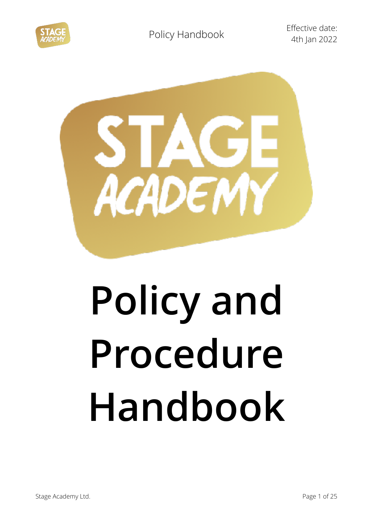

4th Jan 2022



# **Policy and Procedure Handbook**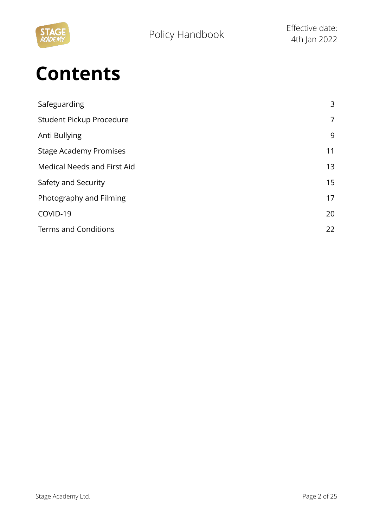

# **Contents**

| Safeguarding                  | 3              |
|-------------------------------|----------------|
| Student Pickup Procedure      | $\overline{7}$ |
| Anti Bullying                 | 9              |
| <b>Stage Academy Promises</b> | 11             |
| Medical Needs and First Aid   | 13             |
| Safety and Security           | 15             |
| Photography and Filming       | 17             |
| COVID-19                      | 20             |
| <b>Terms and Conditions</b>   | 22             |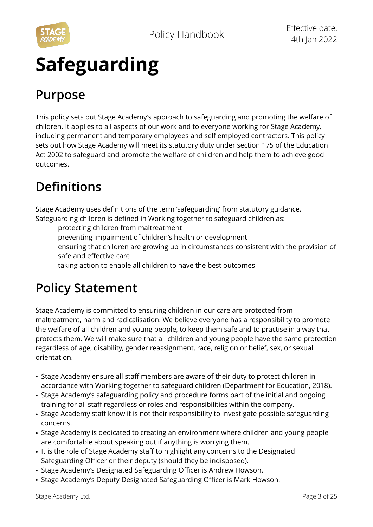

# **Safeguarding**

### **Purpose**

This policy sets out Stage Academy's approach to safeguarding and promoting the welfare of children. It applies to all aspects of our work and to everyone working for Stage Academy, including permanent and temporary employees and self employed contractors. This policy sets out how Stage Academy will meet its statutory duty under section 175 of the Education Act 2002 to safeguard and promote the welfare of children and help them to achieve good outcomes.

### **Definitions**

Stage Academy uses definitions of the term 'safeguarding' from statutory guidance. Safeguarding children is defined in Working together to safeguard children as:

protecting children from maltreatment

preventing impairment of children's health or development

 ensuring that children are growing up in circumstances consistent with the provision of safe and effective care

taking action to enable all children to have the best outcomes

### **Policy Statement**

Stage Academy is committed to ensuring children in our care are protected from maltreatment, harm and radicalisation. We believe everyone has a responsibility to promote the welfare of all children and young people, to keep them safe and to practise in a way that protects them. We will make sure that all children and young people have the same protection regardless of age, disability, gender reassignment, race, religion or belief, sex, or sexual orientation.

- Stage Academy ensure all staff members are aware of their duty to protect children in accordance with Working together to safeguard children (Department for Education, 2018).
- Stage Academy's safeguarding policy and procedure forms part of the initial and ongoing training for all staff regardless or roles and responsibilities within the company.
- Stage Academy staff know it is not their responsibility to investigate possible safeguarding concerns.
- Stage Academy is dedicated to creating an environment where children and young people are comfortable about speaking out if anything is worrying them.
- It is the role of Stage Academy staff to highlight any concerns to the Designated Safeguarding Officer or their deputy (should they be indisposed).
- Stage Academy's Designated Safeguarding Officer is Andrew Howson.
- Stage Academy's Deputy Designated Safeguarding Officer is Mark Howson.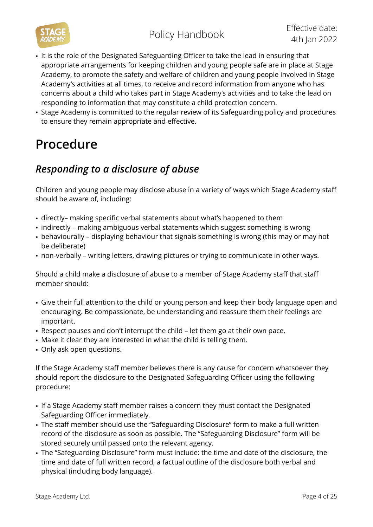- It is the role of the Designated Safeguarding Officer to take the lead in ensuring that appropriate arrangements for keeping children and young people safe are in place at Stage Academy, to promote the safety and welfare of children and young people involved in Stage Academy's activities at all times, to receive and record information from anyone who has concerns about a child who takes part in Stage Academy's activities and to take the lead on responding to information that may constitute a child protection concern.
- Stage Academy is committed to the regular review of its Safeguarding policy and procedures to ensure they remain appropriate and effective.

### **Procedure**

### *Responding to a disclosure of abuse*

Children and young people may disclose abuse in a variety of ways which Stage Academy staff should be aware of, including:

- directly– making specific verbal statements about what's happened to them
- indirectly making ambiguous verbal statements which suggest something is wrong
- behaviourally displaying behaviour that signals something is wrong (this may or may not be deliberate)
- non-verbally writing letters, drawing pictures or trying to communicate in other ways.

Should a child make a disclosure of abuse to a member of Stage Academy staff that staff member should:

- Give their full attention to the child or young person and keep their body language open and encouraging. Be compassionate, be understanding and reassure them their feelings are important.
- Respect pauses and don't interrupt the child let them go at their own pace.
- Make it clear they are interested in what the child is telling them.
- Only ask open questions.

If the Stage Academy staff member believes there is any cause for concern whatsoever they should report the disclosure to the Designated Safeguarding Officer using the following procedure:

- If a Stage Academy staff member raises a concern they must contact the Designated Safeguarding Officer immediately.
- The staff member should use the "Safeguarding Disclosure" form to make a full written record of the disclosure as soon as possible. The "Safeguarding Disclosure" form will be stored securely until passed onto the relevant agency.
- The "Safeguarding Disclosure" form must include: the time and date of the disclosure, the time and date of full written record, a factual outline of the disclosure both verbal and physical (including body language).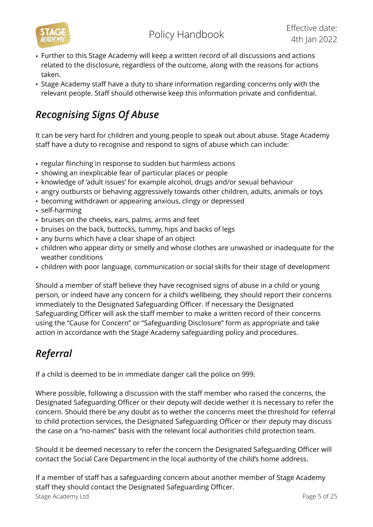- Further to this Stage Academy will keep a written record of all discussions and actions related to the disclosure, regardless of the outcome, along with the reasons for actions taken.
- Stage Academy staff have a duty to share information regarding concerns only with the relevant people. Staff should otherwise keep this information private and confidential.

### *Recognising Signs Of Abuse*

It can be very hard for children and young people to speak out about abuse. Stage Academy staff have a duty to recognise and respond to signs of abuse which can include:

- regular flinching in response to sudden but harmless actions
- showing an inexplicable fear of particular places or people
- knowledge of 'adult issues' for example alcohol, drugs and/or sexual behaviour
- angry outbursts or behaving aggressively towards other children, adults, animals or toys
- becoming withdrawn or appearing anxious, clingy or depressed
- self-harming
- bruises on the cheeks, ears, palms, arms and feet
- bruises on the back, buttocks, tummy, hips and backs of legs
- any burns which have a clear shape of an object
- children who appear dirty or smelly and whose clothes are unwashed or inadequate for the weather conditions
- children with poor language, communication or social skills for their stage of development

Should a member of staff believe they have recognised signs of abuse in a child or young person, or indeed have any concern for a child's wellbeing, they should report their concerns immediately to the Designated Safeguarding Officer. If necessary the Designated Safeguarding Officer will ask the staff member to make a written record of their concerns using the "Cause for Concern" or "Safeguarding Disclosure" form as appropriate and take action in accordance with the Stage Academy safeguarding policy and procedures.

### *Referral*

If a child is deemed to be in immediate danger call the police on 999.

Where possible, following a discussion with the staff member who raised the concerns, the Designated Safeguarding Officer or their deputy will decide wether it is necessary to refer the concern. Should there be any doubt as to wether the concerns meet the threshold for referral to child protection services, the Designated Safeguarding Officer or their deputy may discuss the case on a "no-names" basis with the relevant local authorities child protection team.

Should it be deemed necessary to refer the concern the Designated Safeguarding Officer will contact the Social Care Department in the local authority of the child's home address.

If a member of staff has a safeguarding concern about another member of Stage Academy staff they should contact the Designated Safeguarding Officer. Stage Academy Ltd. **Page 5 of 25**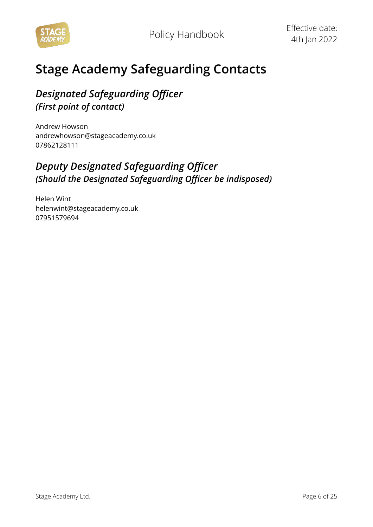

### **Stage Academy Safeguarding Contacts**

### *Designated Safeguarding Officer (First point of contact)*

Andrew Howson andrewhowson@stageacademy.co.uk 07862128111

### *Deputy Designated Safeguarding Officer (Should the Designated Safeguarding Officer be indisposed)*

Helen Wint [helenwint@stageacademy.co.uk](mailto:helenwint@stageacademy.co.uk)  07951579694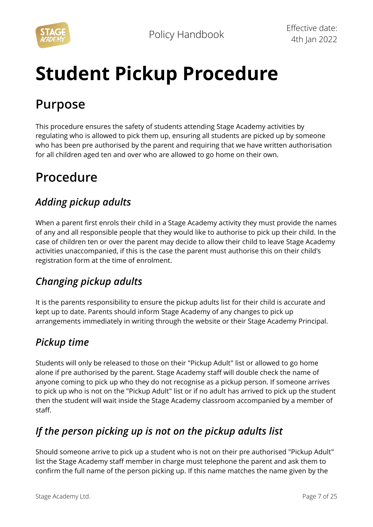

# **Student Pickup Procedure**

### **Purpose**

This procedure ensures the safety of students attending Stage Academy activities by regulating who is allowed to pick them up, ensuring all students are picked up by someone who has been pre authorised by the parent and requiring that we have written authorisation for all children aged ten and over who are allowed to go home on their own.

### **Procedure**

### *Adding pickup adults*

When a parent first enrols their child in a Stage Academy activity they must provide the names of any and all responsible people that they would like to authorise to pick up their child. In the case of children ten or over the parent may decide to allow their child to leave Stage Academy activities unaccompanied, if this is the case the parent must authorise this on their child's registration form at the time of enrolment.

### *Changing pickup adults*

It is the parents responsibility to ensure the pickup adults list for their child is accurate and kept up to date. Parents should inform Stage Academy of any changes to pick up arrangements immediately in writing through the website or their Stage Academy Principal.

### *Pickup time*

Students will only be released to those on their "Pickup Adult" list or allowed to go home alone if pre authorised by the parent. Stage Academy staff will double check the name of anyone coming to pick up who they do not recognise as a pickup person. If someone arrives to pick up who is not on the "Pickup Adult" list or if no adult has arrived to pick up the student then the student will wait inside the Stage Academy classroom accompanied by a member of staff.

### *If the person picking up is not on the pickup adults list*

Should someone arrive to pick up a student who is not on their pre authorised "Pickup Adult" list the Stage Academy staff member in charge must telephone the parent and ask them to confirm the full name of the person picking up. If this name matches the name given by the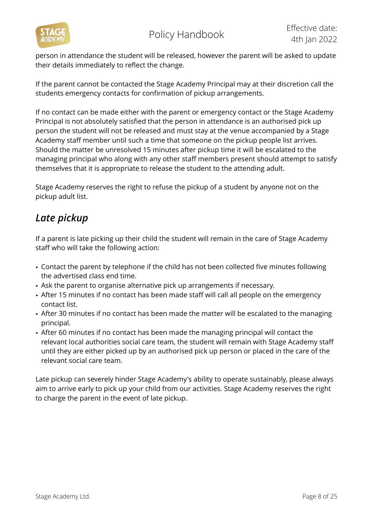

person in attendance the student will be released, however the parent will be asked to update their details immediately to reflect the change.

If the parent cannot be contacted the Stage Academy Principal may at their discretion call the students emergency contacts for confirmation of pickup arrangements.

If no contact can be made either with the parent or emergency contact or the Stage Academy Principal is not absolutely satisfied that the person in attendance is an authorised pick up person the student will not be released and must stay at the venue accompanied by a Stage Academy staff member until such a time that someone on the pickup people list arrives. Should the matter be unresolved 15 minutes after pickup time it will be escalated to the managing principal who along with any other staff members present should attempt to satisfy themselves that it is appropriate to release the student to the attending adult.

Stage Academy reserves the right to refuse the pickup of a student by anyone not on the pickup adult list.

### *Late pickup*

If a parent is late picking up their child the student will remain in the care of Stage Academy staff who will take the following action:

- Contact the parent by telephone if the child has not been collected five minutes following the advertised class end time.
- Ask the parent to organise alternative pick up arrangements if necessary.
- After 15 minutes if no contact has been made staff will call all people on the emergency contact list.
- After 30 minutes if no contact has been made the matter will be escalated to the managing principal.
- After 60 minutes if no contact has been made the managing principal will contact the relevant local authorities social care team, the student will remain with Stage Academy staff until they are either picked up by an authorised pick up person or placed in the care of the relevant social care team.

Late pickup can severely hinder Stage Academy's ability to operate sustainably, please always aim to arrive early to pick up your child from our activities. Stage Academy reserves the right to charge the parent in the event of late pickup.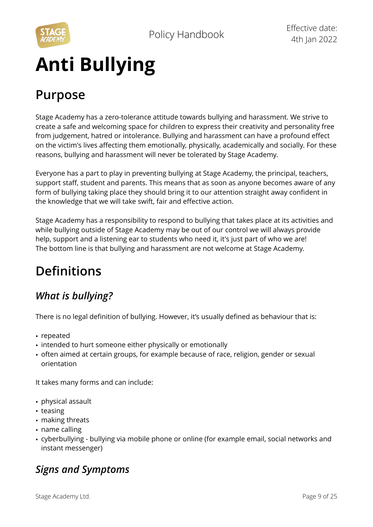

# **Anti Bullying**

### **Purpose**

Stage Academy has a zero-tolerance attitude towards bullying and harassment. We strive to create a safe and welcoming space for children to express their creativity and personality free from judgement, hatred or intolerance. Bullying and harassment can have a profound effect on the victim's lives affecting them emotionally, physically, academically and socially. For these reasons, bullying and harassment will never be tolerated by Stage Academy.

Everyone has a part to play in preventing bullying at Stage Academy, the principal, teachers, support staff, student and parents. This means that as soon as anyone becomes aware of any form of bullying taking place they should bring it to our attention straight away confident in the knowledge that we will take swift, fair and effective action.

Stage Academy has a responsibility to respond to bullying that takes place at its activities and while bullying outside of Stage Academy may be out of our control we will always provide help, support and a listening ear to students who need it, it's just part of who we are! The bottom line is that bullying and harassment are not welcome at Stage Academy.

### **Definitions**

### *What is bullying?*

There is no legal definition of bullying. However, it's usually defined as behaviour that is:

- repeated
- intended to hurt someone either physically or emotionally
- often aimed at certain groups, for example because of race, religion, gender or sexual orientation

It takes many forms and can include:

- physical assault
- teasing
- making threats
- name calling
- cyberbullying bullying via mobile phone or online (for example email, social networks and instant messenger)

### *Signs and Symptoms*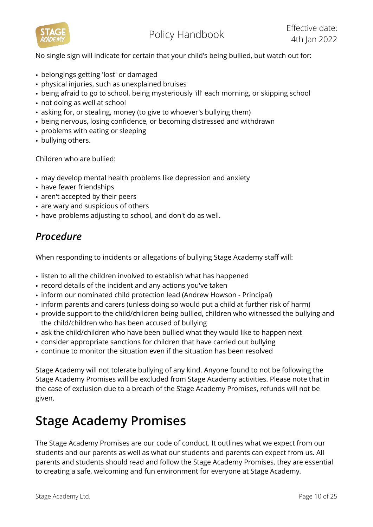

No single sign will indicate for certain that your child's being bullied, but watch out for:

- belongings getting 'lost' or damaged
- physical injuries, such as unexplained bruises
- being afraid to go to school, being mysteriously 'ill' each morning, or skipping school
- not doing as well at school
- asking for, or stealing, money (to give to whoever's bullying them)
- being nervous, losing confidence, or becoming distressed and withdrawn
- problems with eating or sleeping
- bullying others.

Children who are bullied:

- may develop mental health problems like depression and anxiety
- have fewer friendships
- aren't accepted by their peers
- are wary and suspicious of others
- have problems adjusting to school, and don't do as well.

### *Procedure*

When responding to incidents or allegations of bullying Stage Academy staff will:

- listen to all the children involved to establish what has happened
- record details of the incident and any actions you've taken
- inform our nominated child protection lead (Andrew Howson Principal)
- inform parents and carers (unless doing so would put a child at further risk of harm)
- provide support to the child/children being bullied, children who witnessed the bullying and the child/children who has been accused of bullying
- ask the child/children who have been bullied what they would like to happen next
- consider appropriate sanctions for children that have carried out bullying
- continue to monitor the situation even if the situation has been resolved

Stage Academy will not tolerate bullying of any kind. Anyone found to not be following the Stage Academy Promises will be excluded from Stage Academy activities. Please note that in the case of exclusion due to a breach of the Stage Academy Promises, refunds will not be given.

### **Stage Academy Promises**

The Stage Academy Promises are our code of conduct. It outlines what we expect from our students and our parents as well as what our students and parents can expect from us. All parents and students should read and follow the Stage Academy Promises, they are essential to creating a safe, welcoming and fun environment for everyone at Stage Academy.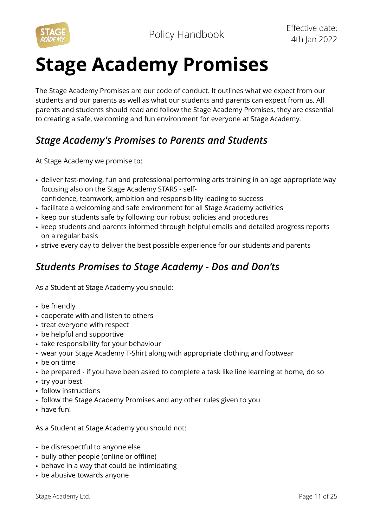

# **Stage Academy Promises**

The Stage Academy Promises are our code of conduct. It outlines what we expect from our students and our parents as well as what our students and parents can expect from us. All parents and students should read and follow the Stage Academy Promises, they are essential to creating a safe, welcoming and fun environment for everyone at Stage Academy.

### *Stage Academy's Promises to Parents and Students*

At Stage Academy we promise to:

- deliver fast-moving, fun and professional performing arts training in an age appropriate way focusing also on the Stage Academy STARS - self
	- confidence, teamwork, ambition and responsibility leading to success
- facilitate a welcoming and safe environment for all Stage Academy activities
- keep our students safe by following our robust policies and procedures
- keep students and parents informed through helpful emails and detailed progress reports on a regular basis
- strive every day to deliver the best possible experience for our students and parents

### *Students Promises to Stage Academy - Dos and Don'ts*

As a Student at Stage Academy you should:

- be friendly
- cooperate with and listen to others
- treat everyone with respect
- be helpful and supportive
- take responsibility for your behaviour
- wear your Stage Academy T-Shirt along with appropriate clothing and footwear
- be on time
- be prepared if you have been asked to complete a task like line learning at home, do so
- try your best
- follow instructions
- follow the Stage Academy Promises and any other rules given to you
- have fun!

As a Student at Stage Academy you should not:

- be disrespectful to anyone else
- bully other people (online or offline)
- behave in a way that could be intimidating
- be abusive towards anyone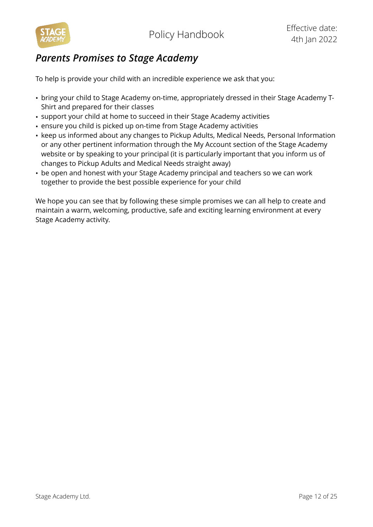

### *Parents Promises to Stage Academy*

To help is provide your child with an incredible experience we ask that you:

- bring your child to Stage Academy on-time, appropriately dressed in their Stage Academy T-Shirt and prepared for their classes
- support your child at home to succeed in their Stage Academy activities
- ensure you child is picked up on-time from Stage Academy activities
- keep us informed about any changes to Pickup Adults, Medical Needs, Personal Information or any other pertinent information through the My Account section of the Stage Academy website or by speaking to your principal (it is particularly important that you inform us of changes to Pickup Adults and Medical Needs straight away)
- be open and honest with your Stage Academy principal and teachers so we can work together to provide the best possible experience for your child

We hope you can see that by following these simple promises we can all help to create and maintain a warm, welcoming, productive, safe and exciting learning environment at every Stage Academy activity.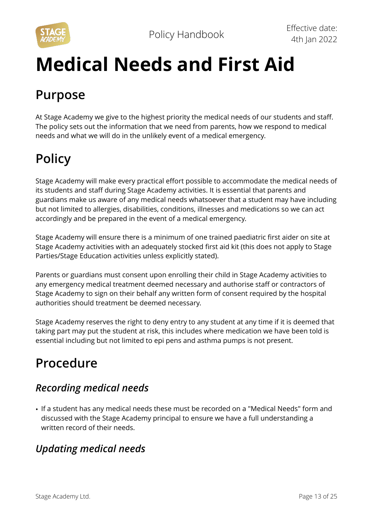



# **Medical Needs and First Aid**

### **Purpose**

At Stage Academy we give to the highest priority the medical needs of our students and staff. The policy sets out the information that we need from parents, how we respond to medical needs and what we will do in the unlikely event of a medical emergency.

### **Policy**

Stage Academy will make every practical effort possible to accommodate the medical needs of its students and staff during Stage Academy activities. It is essential that parents and guardians make us aware of any medical needs whatsoever that a student may have including but not limited to allergies, disabilities, conditions, illnesses and medications so we can act accordingly and be prepared in the event of a medical emergency.

Stage Academy will ensure there is a minimum of one trained paediatric first aider on site at Stage Academy activities with an adequately stocked first aid kit (this does not apply to Stage Parties/Stage Education activities unless explicitly stated).

Parents or guardians must consent upon enrolling their child in Stage Academy activities to any emergency medical treatment deemed necessary and authorise staff or contractors of Stage Academy to sign on their behalf any written form of consent required by the hospital authorities should treatment be deemed necessary.

Stage Academy reserves the right to deny entry to any student at any time if it is deemed that taking part may put the student at risk, this includes where medication we have been told is essential including but not limited to epi pens and asthma pumps is not present.

### **Procedure**

### *Recording medical needs*

• If a student has any medical needs these must be recorded on a "Medical Needs" form and discussed with the Stage Academy principal to ensure we have a full understanding a written record of their needs.

### *Updating medical needs*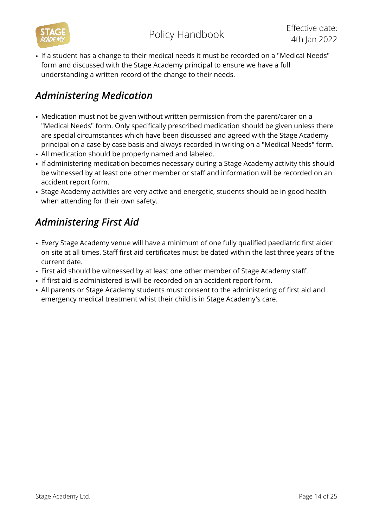

• If a student has a change to their medical needs it must be recorded on a "Medical Needs" form and discussed with the Stage Academy principal to ensure we have a full understanding a written record of the change to their needs.

### *Administering Medication*

- Medication must not be given without written permission from the parent/carer on a "Medical Needs" form. Only specifically prescribed medication should be given unless there are special circumstances which have been discussed and agreed with the Stage Academy principal on a case by case basis and always recorded in writing on a "Medical Needs" form.
- All medication should be properly named and labeled.
- If administering medication becomes necessary during a Stage Academy activity this should be witnessed by at least one other member or staff and information will be recorded on an accident report form.
- Stage Academy activities are very active and energetic, students should be in good health when attending for their own safety.

### *Administering First Aid*

- Every Stage Academy venue will have a minimum of one fully qualified paediatric first aider on site at all times. Staff first aid certificates must be dated within the last three years of the current date.
- First aid should be witnessed by at least one other member of Stage Academy staff.
- If first aid is administered is will be recorded on an accident report form.
- All parents or Stage Academy students must consent to the administering of first aid and emergency medical treatment whist their child is in Stage Academy's care.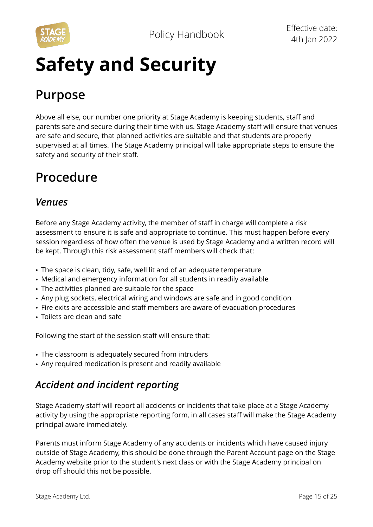

# **Safety and Security**

### **Purpose**

Above all else, our number one priority at Stage Academy is keeping students, staff and parents safe and secure during their time with us. Stage Academy staff will ensure that venues are safe and secure, that planned activities are suitable and that students are properly supervised at all times. The Stage Academy principal will take appropriate steps to ensure the safety and security of their staff.

### **Procedure**

### *Venues*

Before any Stage Academy activity, the member of staff in charge will complete a risk assessment to ensure it is safe and appropriate to continue. This must happen before every session regardless of how often the venue is used by Stage Academy and a written record will be kept. Through this risk assessment staff members will check that:

- The space is clean, tidy, safe, well lit and of an adequate temperature
- Medical and emergency information for all students in readily available
- The activities planned are suitable for the space
- Any plug sockets, electrical wiring and windows are safe and in good condition
- Fire exits are accessible and staff members are aware of evacuation procedures
- Toilets are clean and safe

Following the start of the session staff will ensure that:

- The classroom is adequately secured from intruders
- Any required medication is present and readily available

### *Accident and incident reporting*

Stage Academy staff will report all accidents or incidents that take place at a Stage Academy activity by using the appropriate reporting form, in all cases staff will make the Stage Academy principal aware immediately.

Parents must inform Stage Academy of any accidents or incidents which have caused injury outside of Stage Academy, this should be done through the Parent Account page on the Stage Academy website prior to the student's next class or with the Stage Academy principal on drop off should this not be possible.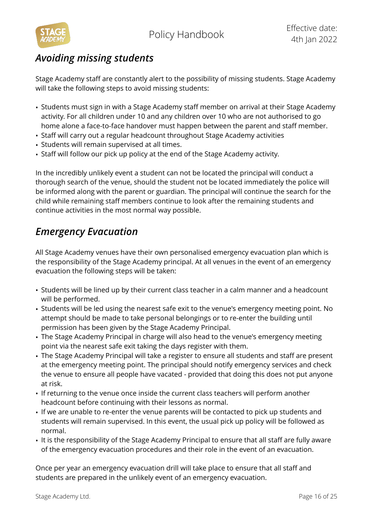

### *Avoiding missing students*

Stage Academy staff are constantly alert to the possibility of missing students. Stage Academy will take the following steps to avoid missing students:

- Students must sign in with a Stage Academy staff member on arrival at their Stage Academy activity. For all children under 10 and any children over 10 who are not authorised to go home alone a face-to-face handover must happen between the parent and staff member.
- Staff will carry out a regular headcount throughout Stage Academy activities
- Students will remain supervised at all times.
- Staff will follow our pick up policy at the end of the Stage Academy activity.

In the incredibly unlikely event a student can not be located the principal will conduct a thorough search of the venue, should the student not be located immediately the police will be informed along with the parent or guardian. The principal will continue the search for the child while remaining staff members continue to look after the remaining students and continue activities in the most normal way possible.

### *Emergency Evacuation*

All Stage Academy venues have their own personalised emergency evacuation plan which is the responsibility of the Stage Academy principal. At all venues in the event of an emergency evacuation the following steps will be taken:

- Students will be lined up by their current class teacher in a calm manner and a headcount will be performed.
- Students will be led using the nearest safe exit to the venue's emergency meeting point. No attempt should be made to take personal belongings or to re-enter the building until permission has been given by the Stage Academy Principal.
- The Stage Academy Principal in charge will also head to the venue's emergency meeting point via the nearest safe exit taking the days register with them.
- The Stage Academy Principal will take a register to ensure all students and staff are present at the emergency meeting point. The principal should notify emergency services and check the venue to ensure all people have vacated - provided that doing this does not put anyone at risk.
- If returning to the venue once inside the current class teachers will perform another headcount before continuing with their lessons as normal.
- If we are unable to re-enter the venue parents will be contacted to pick up students and students will remain supervised. In this event, the usual pick up policy will be followed as normal.
- It is the responsibility of the Stage Academy Principal to ensure that all staff are fully aware of the emergency evacuation procedures and their role in the event of an evacuation.

Once per year an emergency evacuation drill will take place to ensure that all staff and students are prepared in the unlikely event of an emergency evacuation.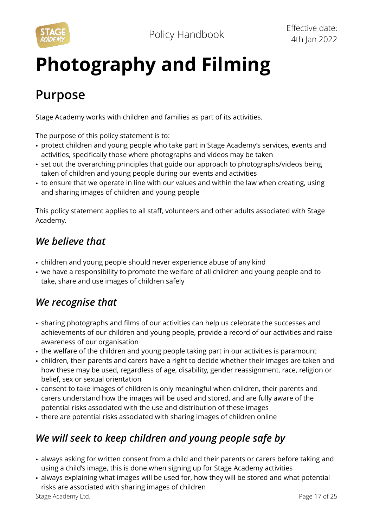

# **Photography and Filming**

### **Purpose**

Stage Academy works with children and families as part of its activities.

The purpose of this policy statement is to:

- protect children and young people who take part in Stage Academy's services, events and activities, specifically those where photographs and videos may be taken
- set out the overarching principles that guide our approach to photographs/videos being taken of children and young people during our events and activities
- to ensure that we operate in line with our values and within the law when creating, using and sharing images of children and young people

This policy statement applies to all staff, volunteers and other adults associated with Stage Academy.

### *We believe that*

- children and young people should never experience abuse of any kind
- we have a responsibility to promote the welfare of all children and young people and to take, share and use images of children safely

### *We recognise that*

- sharing photographs and films of our activities can help us celebrate the successes and achievements of our children and young people, provide a record of our activities and raise awareness of our organisation
- the welfare of the children and young people taking part in our activities is paramount
- children, their parents and carers have a right to decide whether their images are taken and how these may be used, regardless of age, disability, gender reassignment, race, religion or belief, sex or sexual orientation
- consent to take images of children is only meaningful when children, their parents and carers understand how the images will be used and stored, and are fully aware of the potential risks associated with the use and distribution of these images
- there are potential risks associated with sharing images of children online

### *We will seek to keep children and young people safe by*

- always asking for written consent from a child and their parents or carers before taking and using a child's image, this is done when signing up for Stage Academy activities
- always explaining what images will be used for, how they will be stored and what potential risks are associated with sharing images of children

Stage Academy Ltd. **Page 17 of 25**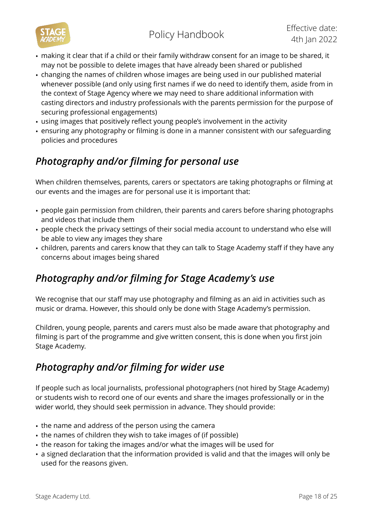

- making it clear that if a child or their family withdraw consent for an image to be shared, it may not be possible to delete images that have already been shared or published
- changing the names of children whose images are being used in our published material whenever possible (and only using first names if we do need to identify them, aside from in the context of Stage Agency where we may need to share additional information with casting directors and industry professionals with the parents permission for the purpose of securing professional engagements)
- using images that positively reflect young people's involvement in the activity
- ensuring any photography or filming is done in a manner consistent with our safeguarding policies and procedures

### *Photography and/or filming for personal use*

When children themselves, parents, carers or spectators are taking photographs or filming at our events and the images are for personal use it is important that:

- people gain permission from children, their parents and carers before sharing photographs and videos that include them
- people check the privacy settings of their social media account to understand who else will be able to view any images they share
- children, parents and carers know that they can talk to Stage Academy staff if they have any concerns about images being shared

### *Photography and/or filming for Stage Academy's use*

We recognise that our staff may use photography and filming as an aid in activities such as music or drama. However, this should only be done with Stage Academy's permission.

Children, young people, parents and carers must also be made aware that photography and filming is part of the programme and give written consent, this is done when you first join Stage Academy.

### *Photography and/or filming for wider use*

If people such as local journalists, professional photographers (not hired by Stage Academy) or students wish to record one of our events and share the images professionally or in the wider world, they should seek permission in advance. They should provide:

- the name and address of the person using the camera
- the names of children they wish to take images of (if possible)
- the reason for taking the images and/or what the images will be used for
- a signed declaration that the information provided is valid and that the images will only be used for the reasons given.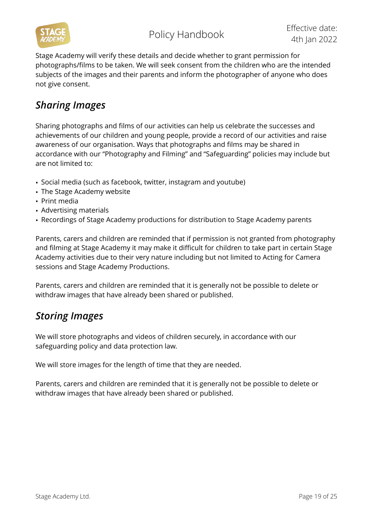

Stage Academy will verify these details and decide whether to grant permission for photographs/films to be taken. We will seek consent from the children who are the intended subjects of the images and their parents and inform the photographer of anyone who does not give consent.

### *Sharing Images*

Sharing photographs and films of our activities can help us celebrate the successes and achievements of our children and young people, provide a record of our activities and raise awareness of our organisation. Ways that photographs and films may be shared in accordance with our "Photography and Filming" and "Safeguarding" policies may include but are not limited to:

- Social media (such as facebook, twitter, instagram and youtube)
- The Stage Academy website
- Print media
- Advertising materials
- Recordings of Stage Academy productions for distribution to Stage Academy parents

Parents, carers and children are reminded that if permission is not granted from photography and filming at Stage Academy it may make it difficult for children to take part in certain Stage Academy activities due to their very nature including but not limited to Acting for Camera sessions and Stage Academy Productions.

Parents, carers and children are reminded that it is generally not be possible to delete or withdraw images that have already been shared or published.

### *Storing Images*

We will store photographs and videos of children securely, in accordance with our safeguarding policy and data protection law.

We will store images for the length of time that they are needed.

Parents, carers and children are reminded that it is generally not be possible to delete or withdraw images that have already been shared or published.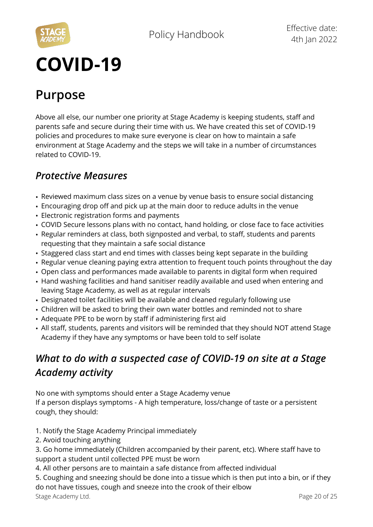

# **COVID-19**

### **Purpose**

Above all else, our number one priority at Stage Academy is keeping students, staff and parents safe and secure during their time with us. We have created this set of COVID-19 policies and procedures to make sure everyone is clear on how to maintain a safe environment at Stage Academy and the steps we will take in a number of circumstances related to COVID-19.

### *Protective Measures*

- Reviewed maximum class sizes on a venue by venue basis to ensure social distancing
- Encouraging drop off and pick up at the main door to reduce adults in the venue
- Electronic registration forms and payments
- COVID Secure lessons plans with no contact, hand holding, or close face to face activities
- Regular reminders at class, both signposted and verbal, to staff, students and parents requesting that they maintain a safe social distance
- Staggered class start and end times with classes being kept separate in the building
- Regular venue cleaning paying extra attention to frequent touch points throughout the day
- Open class and performances made available to parents in digital form when required
- Hand washing facilities and hand sanitiser readily available and used when entering and leaving Stage Academy, as well as at regular intervals
- Designated toilet facilities will be available and cleaned regularly following use
- Children will be asked to bring their own water bottles and reminded not to share
- Adequate PPE to be worn by staff if administering first aid
- All staff, students, parents and visitors will be reminded that they should NOT attend Stage Academy if they have any symptoms or have been told to self isolate

### *What to do with a suspected case of COVID-19 on site at a Stage Academy activity*

No one with symptoms should enter a Stage Academy venue

If a person displays symptoms - A high temperature, loss/change of taste or a persistent cough, they should:

- 1. Notify the Stage Academy Principal immediately
- 2. Avoid touching anything

3. Go home immediately (Children accompanied by their parent, etc). Where staff have to support a student until collected PPE must be worn

4. All other persons are to maintain a safe distance from affected individual

5. Coughing and sneezing should be done into a tissue which is then put into a bin, or if they do not have tissues, cough and sneeze into the crook of their elbow Stage Academy Ltd. **Page 20 of 25**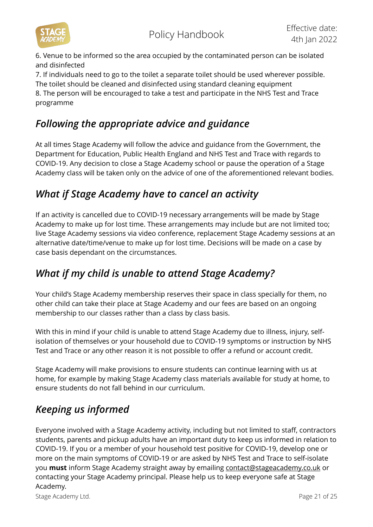

programme

6. Venue to be informed so the area occupied by the contaminated person can be isolated and disinfected

7. If individuals need to go to the toilet a separate toilet should be used wherever possible. The toilet should be cleaned and disinfected using standard cleaning equipment 8. The person will be encouraged to take a test and participate in the NHS Test and Trace

### *Following the appropriate advice and guidance*

At all times Stage Academy will follow the advice and guidance from the Government, the Department for Education, Public Health England and NHS Test and Trace with regards to COVID-19. Any decision to close a Stage Academy school or pause the operation of a Stage Academy class will be taken only on the advice of one of the aforementioned relevant bodies.

### *What if Stage Academy have to cancel an activity*

If an activity is cancelled due to COVID-19 necessary arrangements will be made by Stage Academy to make up for lost time. These arrangements may include but are not limited too; live Stage Academy sessions via video conference, replacement Stage Academy sessions at an alternative date/time/venue to make up for lost time. Decisions will be made on a case by case basis dependant on the circumstances.

### *What if my child is unable to attend Stage Academy?*

Your child's Stage Academy membership reserves their space in class specially for them, no other child can take their place at Stage Academy and our fees are based on an ongoing membership to our classes rather than a class by class basis.

With this in mind if your child is unable to attend Stage Academy due to illness, injury, selfisolation of themselves or your household due to COVID-19 symptoms or instruction by NHS Test and Trace or any other reason it is not possible to offer a refund or account credit.

Stage Academy will make provisions to ensure students can continue learning with us at home, for example by making Stage Academy class materials available for study at home, to ensure students do not fall behind in our curriculum.

### *Keeping us informed*

Everyone involved with a Stage Academy activity, including but not limited to staff, contractors students, parents and pickup adults have an important duty to keep us informed in relation to COVID-19. If you or a member of your household test positive for COVID-19, develop one or more on the main symptoms of COVID-19 or are asked by NHS Test and Trace to self-isolate you **must** inform Stage Academy straight away by emailing [contact@stageacademy.co.uk](mailto:contact@stageacademy.co.uk) or contacting your Stage Academy principal. Please help us to keep everyone safe at Stage Academy.

Stage Academy Ltd. **Page 21 of 25**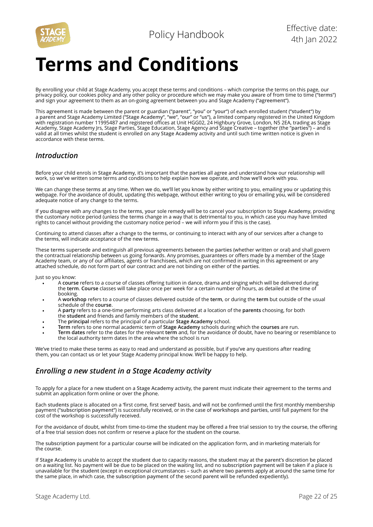

# **Terms and Conditions**

By enrolling your child at Stage Academy, you accept these terms and conditions – which comprise the terms on this page, our privacy policy, our cookies policy and any other policy or procedure which we may make you aware of from time to time ("**terms**") and sign your agreement to them as an on-going agreement between you and Stage Academy ("**agreement**").

This **agreement** is made between the parent or guardian ("**parent**", "**you**" or "**your**") of each enrolled student ("**student**") by a **parent** and Stage Academy Limited ("**Stage Academy**", "**we**", "**our**" or "**us**")**,** a limited company registered in the United Kingdom with registration number 11995487 and registered offices at Unit HGG02, 24 Highbury Grove, London, N5 2EA, trading as Stage Academy, Stage Academy Jrs, Stage Parties, Stage Education, Stage Agency and Stage Creative – together (the "**parties**") – and is valid at all times whilst the **student** is enrolled on any **Stage Academy** activity and until such time written notice is given in accordance with these **terms**.

#### *Introduction*

Before your child enrols in **Stage Academy,** it's important that the **parties** all agree and understand how our relationship will work, so **we've** written some terms and conditions to help explain how **we** operate, and how **we'll** work with **you.** 

**We** can change these **terms** at any time. When **we** do, **we'll** let **you** know by either writing to **you,** emailing **you** or updating this webpage. For the avoidance of doubt, updating this webpage, without either writing to **you** or emailing **you,** will be considered adequate notice of any change to the terms.

If **you** disagree with any changes to the **terms, your** sole remedy will be to cancel your subscription to **Stage Academy**, providing the customary notice period (unless the **terms** change in a way that is detrimental to you, in which case you may have limited rights to cancel without providing the customary notice period – **we** will inform **you** if this is the case).

Continuing to attend classes after a change to the **terms,** or continuing to interact with any of **our** services after a change to the **terms,** will indicate acceptance of the new **terms.** 

These **terms** supersede and extinguish all previous agreements between the **parties** (whether written or oral) and shall govern the contractual relationship between us going forwards. Any promises, guarantees or offers made by a member of the Stage Academy team, or any of our affiliates, agents or franchisees, which are not confirmed in writing in this **agreement** or any attached schedule, do not form part of **our** contract and are not binding on either of the **parties**.

Just so you know:

- **•** A **course** refers to a course of classes offering tuition in dance, drama and singing which will be delivered during the **term**. **Course** classes will take place once per week for a certain number of hours, as detailed at the time of booking.
- **•** A **workshop** refers to a course of classes delivered outside of the **term**, or during the **term** but outside of the usual schedule of the **course**.
- **•** A **party** refers to a one-time performing arts class delivered at a location of the **parents** choosing, for both the **student** and friends and family members of the **student**.
- **•** The **principal** refers to the principal of a particular **Stage Academy** school.
- **• Term** refers to one normal academic term of **Stage Academy** schools during which the **courses** are run.
- **• Term dates** refer to the dates for the relevant **term** and, for the avoidance of doubt, have no bearing or resemblance to the local authority term dates in the area where the school is run

**We've** tried to make these **terms** as easy to read and understand as possible, but if **you've** any questions after reading them, **you** can contact **us** or let **your** Stage Academy principal know. We'll be happy to help.

#### *Enrolling a new student in a Stage Academy activity*

To apply for a place for a new **student** on a **Stage Academy** activity, the **parent** must indicate their agreement to the **terms** and submit an application form online or over the phone.

Each **students** place is allocated on a 'first come, first served' basis, and will not be confirmed until the first monthly membership payment ("**subscription payment**") is successfully received, or in the case of **workshops** and **parties**, until full payment for the cost of the workshop is successfully received.

For the avoidance of doubt, whilst from time-to-time the **student** may be offered a free trial session to try the **course**, the offering of a free trial session does not confirm or reserve a place for the **student** on the **course**.

The **subscription payment** for a particular **course** will be indicated on the application form, and in marketing materials for the **course**.

If **Stage Academy** is unable to accept the **student** due to capacity reasons, the **student** may at the **parent's** discretion be placed on a waiting list. No payment will be due to be placed on the waiting list, and no **subscription payment** will be taken if a place is unavailable for the **student** (except in exceptional circumstances – such as where two **parents** apply at around the same time for the same place, in which case, the **subscription payment** of the second **parent** will be refunded expediently).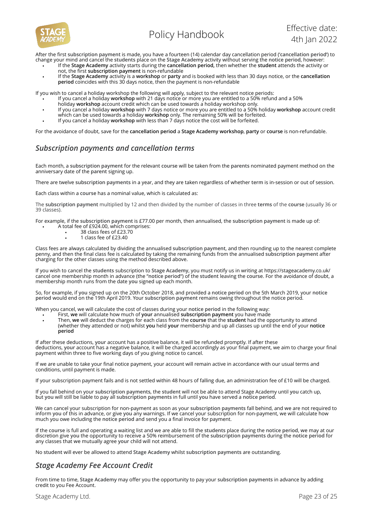

After the first **subscription payment** is made, you have a fourteen (14) calendar day cancellation period ('**cancellation period**') to change your mind and cancel the **students** place on the **Stage Academy** activity without serving the **notice period**, however:

- If the **Stage Academy** activity starts during the **cancellation period,** then whether the **student** attends the activity or not, the first **subscription payment** is non-refundable
- If the **Stage Academy** activity is a **workshop** or **party** and is booked with less than 30 days notice, or the **cancellation period** coincides with this 30 days notice, then the payment is non-refundable

If you wish to cancel a holiday workshop the following will apply, subject to the relevant notice periods:

- If you cancel a holiday **workshop** with 21 days notice or more you are entitled to a 50% refund and a 50%
- holiday **workshop** account credit which can be used towards a holiday workshop only.
- If you cancel a holiday **workshop** with 7 days notice or more you are entitled to a 50% holiday **workshop** account credit which can be used towards a holiday workshop only. The remaining 50% will be forfeited.
- If you cancel a holiday **workshop** with less than 7 days notice the cost will be forfeited.

For the avoidance of doubt, save for the **cancellation period** a **Stage Academy workshop**, **party** or **course** is non-refundable.

#### *Subscription payments and cancellation terms*

Each month, a **subscription payment** for the relevant **course** will be taken from the **parents** nominated payment method on the anniversary date of the **parent** signing up.

There are twelve **subscription payments** in a year, and they are taken regardless of whether **term** is in-session or out of session.

Each class within a **course** has a nominal value, which is calculated as:

The **subscription payment** multiplied by 12 and then divided by the number of classes in three **terms** of the **course** (usually 36 or 39 classes).

For example, if the **subscription payment** is £77.00 per month, then annualised, the **subscription payment** is made up of: • A total fee of £924.00, which comprises:

- 38 class fees of £23.70
- 1 class fee of £23.40

Class fees are always calculated by dividing the annualised **subscription payment**, and then rounding up to the nearest complete penny, and then the final class fee is calculated by taking the remaining funds from the annualised **subscription payment** after charging for the other classes using the method described above.

If you wish to cancel the **students** subscription to **Stage Academy**, you must notify us in writing at https://stageacademy.co.uk/ cancel one membership month in advance (the "**notice period**") of the **student** leaving the **course**. For the avoidance of doubt, a membership month runs from the date **you** signed up each month.

So, for example, if **you** signed up on the 20th October 2018, and provided a **notice period** on the 5th March 2019, your **notice period** would end on the 19th April 2019. Your **subscription payment** remains owing throughout the notice period.

When you cancel, we will calculate the cost of classes during your **notice period** in the following way:

- First, **we** will calculate how much of **your** annualised **subscription payment** you have made
- Then, **we** will deduct the charges for each class from the **course** that the **student** had the opportunity to attend (whether they attended or not) whilst **you** held **your** membership and up all classes up until the end of your **notice period**

If after these deductions, **your** account has a positive balance, it will be refunded promptly. If after these deductions, **your** account has a negative balance, it will be charged accordingly as your final payment, we aim to charge your final payment within three to five working days of you giving notice to cancel.

If we are unable to take your final notice payment, your account will remain active in accordance with our usual terms and conditions, until payment is made.

If your subscription payment fails and is not settled within 48 hours of falling due, an administration fee of £10 will be charged.

If you fall behind on your **subscription payments**, the **student** will not be able to attend Stage Academy until **you** catch up, but **you** will still be liable to pay all **subscription payments** in full until **you** have served a **notice period**.

We can cancel your subscription for non-payment as soon as your **subscription payments** fall behind, and **we** are not required to inform **you** of this in advance, or give **you** any warnings. If we cancel your subscription for non-payment, we will calculate how much you owe including the **notice period** and send you a final invoice for payment.

If the **course** is full and operating a waiting list and we are able to fill the **students** place during the **notice period**, **we** may at our discretion give **you** the opportunity to receive a 50% reimbursement of the **subscription payments** during the **notice period** for any classes that **we** mutually agree **your** child will not attend.

No **student** will ever be allowed to attend **Stage Academy** whilst **subscription payments** are outstanding.

#### *Stage Academy Fee Account Credit*

From time to time, **Stage Academy** may offer you the opportunity to pay your **subscription payments** in advance by adding credit to you Fee Account.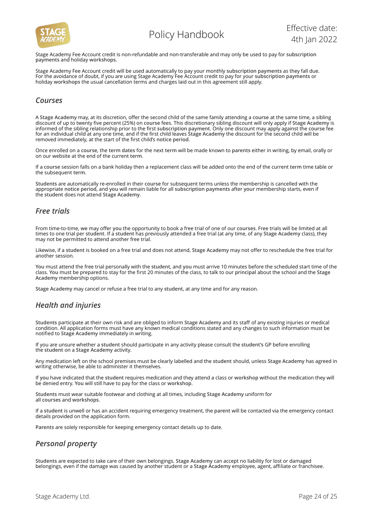

Stage Academy Fee Account credit is non-refundable and non-transferable and may only be used to pay for **subscription payments** and holiday **workshops.** 

Stage Academy Fee Account credit will be used automatically to pay your monthly **subscription payments** as they fall due. For the avoidance of doubt, if you are using Stage Academy Fee Account credit to pay for your **subscription payments** or holiday **workshops** the usual cancellation terms and charges laid out in this agreement still apply.

#### *Courses*

A **Stage Academy** may, at its discretion, offer the second child of the same family attending a **course** at the same time, a sibling discount of up to twenty five percent (25%) on **course** fees. This discretionary sibling discount will only apply if **Stage Academy** is informed of the sibling relationship prior to the first **subscription payment**. Only one discount may apply against the **course** fee for an individual child at any one time, and if the first child leaves **Stage Academy** the discount for the second child will be removed immediately, at the start of the first child's **notice period**.

Once enrolled on a **course**, the **term dates** for the next **term** will be made known to **parents** either in writing, by email, orally or on our website at the end of the current **term**.

If a **course** session falls on a bank holiday then a replacement class will be added onto the end of the current **term** time table or the subsequent **term**.

**Students** are automatically re-enrolled in their **course** for subsequent terms unless the membership is cancelled with the appropriate **notice period**, and **you** will remain liable for all **subscription payments** after **your** membership starts, even if the **student** does not attend **Stage Academy**.

#### *Free trials*

From time-to-time, **we** may offer **you** the opportunity to book a free trial of one of our **courses**. Free trials will be limited at all times to one trial per **student**. If a **student** has previously attended a free trial (at any time, of any **Stage Academy** class), they may not be permitted to attend another free trial.

Likewise, if a **student** is booked on a free trial and does not attend, **Stage Academy** may not offer to reschedule the free trial for another session.

**You** must attend the free trial personally with the **student**, and **you** must arrive 10 minutes before the scheduled start time of the class. **You** must be prepared to stay for the first 20 minutes of the class, to talk to our **principal** about the school and the **Stage Academy** membership options.

**Stage Academy** may cancel or refuse a free trial to any **student**, at any time and for any reason.

#### *Health and injuries*

**Students** participate at their own risk and are obliged to inform **Stage Academy** and its staff of any existing injuries or medical condition. All application forms must have any known medical conditions stated and any changes to such information must be notified to **Stage Academy** immediately in writing.

If you are unsure whether a **student** should participate in any activity please consult the **student's** GP before enrolling the **student** on a **Stage Academy** activity.

Any medication left on the school premises must be clearly labelled and the **student** should, unless **Stage Academy** has agreed in writing otherwise, be able to administer it themselves.

If **you** have indicated that the **student** requires medication and they attend a class or **workshop** without the medication they will be denied entry. **You** will still have to pay for the class or **workshop**.

**Students** must wear suitable footwear and clothing at all times, including **Stage Academy** uniform for all **courses** and **workshops**.

If a **student** is unwell or has an accident requiring emergency treatment, the **parent** will be contacted via the emergency contact details provided on the application form.

**Parents** are solely responsible for keeping emergency contact details up to date.

#### *Personal property*

**Students** are expected to take care of their own belongings. **Stage Academy** can accept no liability for lost or damaged belongings, even if the damage was caused by another student or a **Stage Academy** employee, agent, affiliate or franchisee.